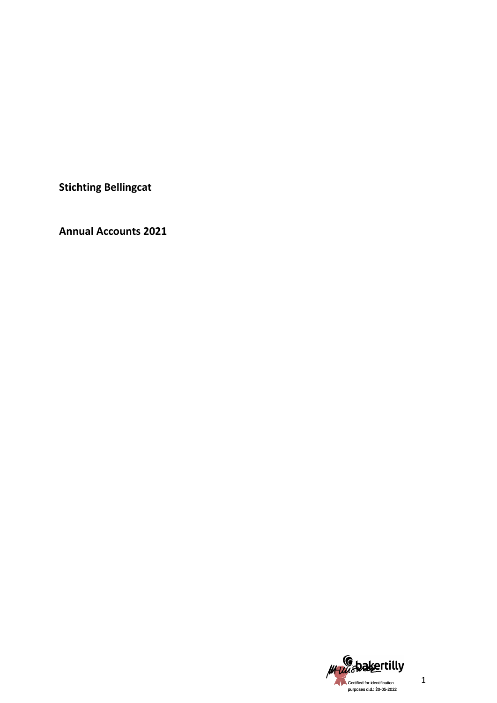**Stichting Bellingcat** 

**Annual Accounts 2021** 

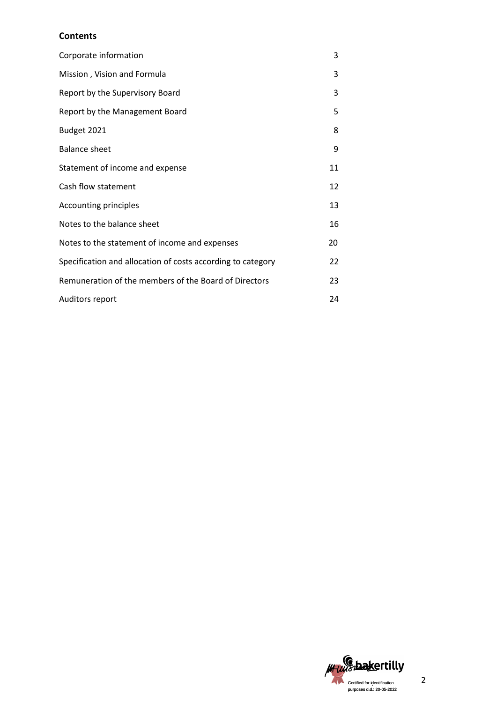# **Contents**

| Corporate information                                       | 3  |
|-------------------------------------------------------------|----|
| Mission, Vision and Formula                                 | 3  |
| Report by the Supervisory Board                             | 3  |
| Report by the Management Board                              | 5  |
| Budget 2021                                                 | 8  |
| <b>Balance sheet</b>                                        | 9  |
| Statement of income and expense                             | 11 |
| Cash flow statement                                         | 12 |
| Accounting principles                                       | 13 |
| Notes to the balance sheet                                  | 16 |
| Notes to the statement of income and expenses               | 20 |
| Specification and allocation of costs according to category | 22 |
| Remuneration of the members of the Board of Directors       | 23 |
| <b>Auditors report</b>                                      | 24 |

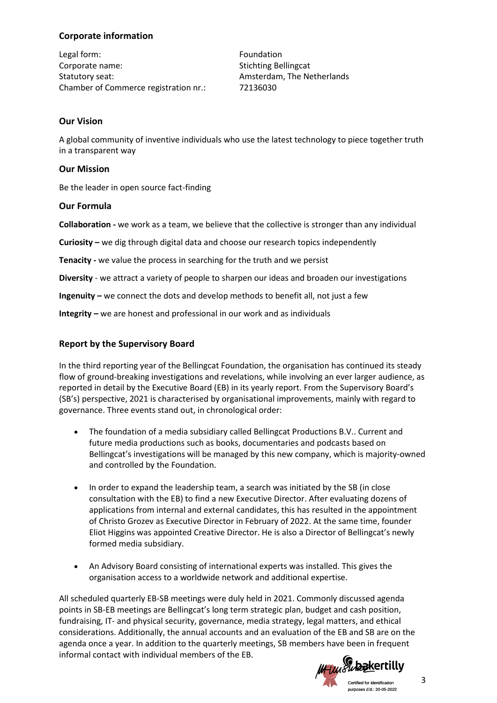# **Corporate information**

Legal form: The Communication of the Communication of the Foundation Corporate name: Stichting Bellingcat Statutory seat: Amsterdam, The Netherlands Chamber of Commerce registration nr.: 72136030

# **Our Vision**

A global community of inventive individuals who use the latest technology to piece together truth in a transparent way

# **Our Mission**

Be the leader in open source fact-finding

# **Our Formula**

**Collaboration -** we work as a team, we believe that the collective is stronger than any individual

**Curiosity –** we dig through digital data and choose our research topics independently

**Tenacity -** we value the process in searching for the truth and we persist

**Diversity** - we attract a variety of people to sharpen our ideas and broaden our investigations

**Ingenuity –** we connect the dots and develop methods to benefit all, not just a few

**Integrity –** we are honest and professional in our work and as individuals

# **Report by the Supervisory Board**

In the third reporting year of the Bellingcat Foundation, the organisation has continued its steady flow of ground-breaking investigations and revelations, while involving an ever larger audience, as reported in detail by the Executive Board (EB) in its yearly report. From the Supervisory Board's (SB's) perspective, 2021 is characterised by organisational improvements, mainly with regard to governance. Three events stand out, in chronological order:

- The foundation of a media subsidiary called Bellingcat Productions B.V.. Current and future media productions such as books, documentaries and podcasts based on Bellingcat's investigations will be managed by this new company, which is majority-owned and controlled by the Foundation.
- In order to expand the leadership team, a search was initiated by the SB (in close consultation with the EB) to find a new Executive Director. After evaluating dozens of applications from internal and external candidates, this has resulted in the appointment of Christo Grozev as Executive Director in February of 2022. At the same time, founder Eliot Higgins was appointed Creative Director. He is also a Director of Bellingcat's newly formed media subsidiary.
- An Advisory Board consisting of international experts was installed. This gives the organisation access to a worldwide network and additional expertise.

All scheduled quarterly EB-SB meetings were duly held in 2021. Commonly discussed agenda points in SB-EB meetings are Bellingcat's long term strategic plan, budget and cash position, fundraising, IT- and physical security, governance, media strategy, legal matters, and ethical considerations. Additionally, the annual accounts and an evaluation of the EB and SB are on the agenda once a year. In addition to the quarterly meetings, SB members have been in frequent informal contact with individual members of the EB.

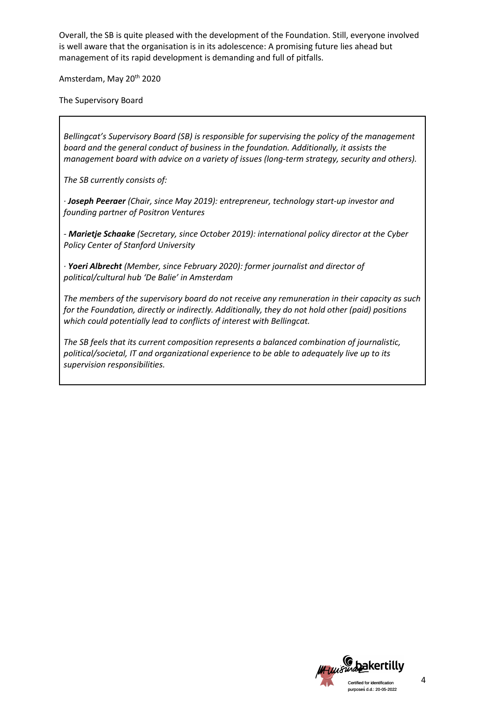Overall, the SB is quite pleased with the development of the Foundation. Still, everyone involved is well aware that the organisation is in its adolescence: A promising future lies ahead but management of its rapid development is demanding and full of pitfalls.

Amsterdam, May 20<sup>th</sup> 2020

The Supervisory Board

*Bellingcat's Supervisory Board (SB) is responsible for supervising the policy of the management board and the general conduct of business in the foundation. Additionally, it assists the management board with advice on a variety of issues (long-term strategy, security and others).* 

*The SB currently consists of:*

*· Joseph Peeraer (Chair, since May 2019): entrepreneur, technology start-up investor and founding partner of Positron Ventures*

*- Marietje Schaake (Secretary, since October 2019): international policy director at the Cyber Policy Center of Stanford University*

*· Yoeri Albrecht (Member, since February 2020): former journalist and director of political/cultural hub 'De Balie' in Amsterdam*

*The members of the supervisory board do not receive any remuneration in their capacity as such for the Foundation, directly or indirectly. Additionally, they do not hold other (paid) positions which could potentially lead to conflicts of interest with Bellingcat.*

*The SB feels that its current composition represents a balanced combination of journalistic, political/societal, IT and organizational experience to be able to adequately live up to its supervision responsibilities.*

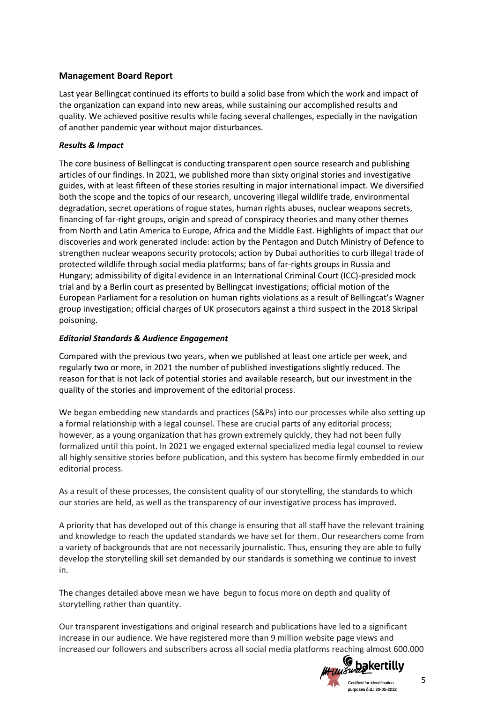# **Management Board Report**

Last year Bellingcat continued its efforts to build a solid base from which the work and impact of the organization can expand into new areas, while sustaining our accomplished results and quality. We achieved positive results while facing several challenges, especially in the navigation of another pandemic year without major disturbances.

# *Results & Impact*

The core business of Bellingcat is conducting transparent open source research and publishing articles of our findings. In 2021, we published more than sixty original stories and investigative guides, with at least fifteen of these stories resulting in major international impact. We diversified both the scope and the topics of our research, uncovering illegal wildlife trade, environmental degradation, secret operations of rogue states, human rights abuses, nuclear weapons secrets, financing of far-right groups, origin and spread of conspiracy theories and many other themes from North and Latin America to Europe, Africa and the Middle East. Highlights of impact that our discoveries and work generated include: action by the Pentagon and Dutch Ministry of Defence to strengthen nuclear weapons security protocols; action by Dubai authorities to curb illegal trade of protected wildlife through social media platforms; bans of far-rights groups in Russia and Hungary; admissibility of digital evidence in an International Criminal Court (ICC)-presided mock trial and by a Berlin court as presented by Bellingcat investigations; official motion of the European Parliament for a resolution on human rights violations as a result of Bellingcat's Wagner group investigation; official charges of UK prosecutors against a third suspect in the 2018 Skripal poisoning.

# *Editorial Standards & Audience Engagement*

Compared with the previous two years, when we published at least one article per week, and regularly two or more, in 2021 the number of published investigations slightly reduced. The reason for that is not lack of potential stories and available research, but our investment in the quality of the stories and improvement of the editorial process.

We began embedding new standards and practices (S&Ps) into our processes while also setting up a formal relationship with a legal counsel. These are crucial parts of any editorial process; however, as a young organization that has grown extremely quickly, they had not been fully formalized until this point. In 2021 we engaged external specialized media legal counsel to review all highly sensitive stories before publication, and this system has become firmly embedded in our editorial process.

As a result of these processes, the consistent quality of our storytelling, the standards to which our stories are held, as well as the transparency of our investigative process has improved.

A priority that has developed out of this change is ensuring that all staff have the relevant training and knowledge to reach the updated standards we have set for them. Our researchers come from a variety of backgrounds that are not necessarily journalistic. Thus, ensuring they are able to fully develop the storytelling skill set demanded by our standards is something we continue to invest in.

The changes detailed above mean we have begun to focus more on depth and quality of storytelling rather than quantity.

Our transparent investigations and original research and publications have led to a significant increase in our audience. We have registered more than 9 million website page views and increased our followers and subscribers across all social media platforms reaching almost 600.000

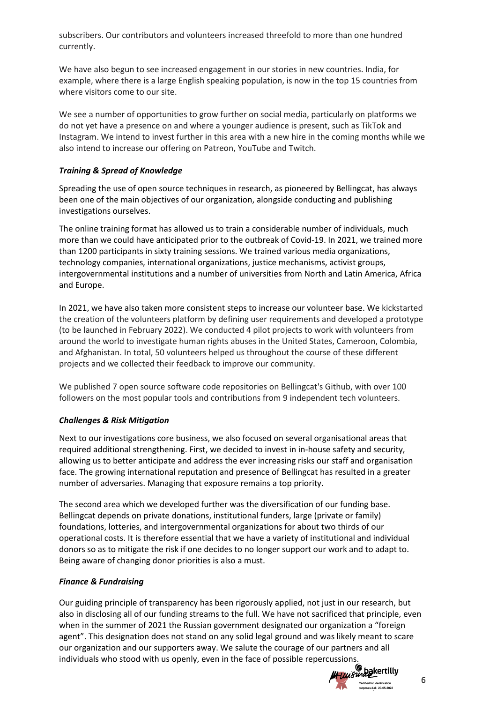subscribers. Our contributors and volunteers increased threefold to more than one hundred currently.

We have also begun to see increased engagement in our stories in new countries. India, for example, where there is a large English speaking population, is now in the top 15 countries from where visitors come to our site.

We see a number of opportunities to grow further on social media, particularly on platforms we do not yet have a presence on and where a younger audience is present, such as TikTok and Instagram. We intend to invest further in this area with a new hire in the coming months while we also intend to increase our offering on Patreon, YouTube and Twitch.

# *Training & Spread of Knowledge*

Spreading the use of open source techniques in research, as pioneered by Bellingcat, has always been one of the main objectives of our organization, alongside conducting and publishing investigations ourselves.

The online training format has allowed us to train a considerable number of individuals, much more than we could have anticipated prior to the outbreak of Covid-19. In 2021, we trained more than 1200 participants in sixty training sessions. We trained various media organizations, technology companies, international organizations, justice mechanisms, activist groups, intergovernmental institutions and a number of universities from North and Latin America, Africa and Europe.

In 2021, we have also taken more consistent steps to increase our volunteer base. We kickstarted the creation of the volunteers platform by defining user requirements and developed a prototype (to be launched in February 2022). We conducted 4 pilot projects to work with volunteers from around the world to investigate human rights abuses in the United States, Cameroon, Colombia, and Afghanistan. In total, 50 volunteers helped us throughout the course of these different projects and we collected their feedback to improve our community.

We published 7 open source software code repositories on Bellingcat's Github, with over 100 followers on the most popular tools and contributions from 9 independent tech volunteers.

## *Challenges & Risk Mitigation*

Next to our investigations core business, we also focused on several organisational areas that required additional strengthening. First, we decided to invest in in-house safety and security, allowing us to better anticipate and address the ever increasing risks our staff and organisation face. The growing international reputation and presence of Bellingcat has resulted in a greater number of adversaries. Managing that exposure remains a top priority.

The second area which we developed further was the diversification of our funding base. Bellingcat depends on private donations, institutional funders, large (private or family) foundations, lotteries, and intergovernmental organizations for about two thirds of our operational costs. It is therefore essential that we have a variety of institutional and individual donors so as to mitigate the risk if one decides to no longer support our work and to adapt to. Being aware of changing donor priorities is also a must.

## *Finance & Fundraising*

Our guiding principle of transparency has been rigorously applied, not just in our research, but also in disclosing all of our funding streams to the full. We have not sacrificed that principle, even when in the summer of 2021 the Russian government designated our organization a "foreign agent". This designation does not stand on any solid legal ground and was likely meant to scare our organization and our supporters away. We salute the courage of our partners and all individuals who stood with us openly, even in the face of possible repercussions.

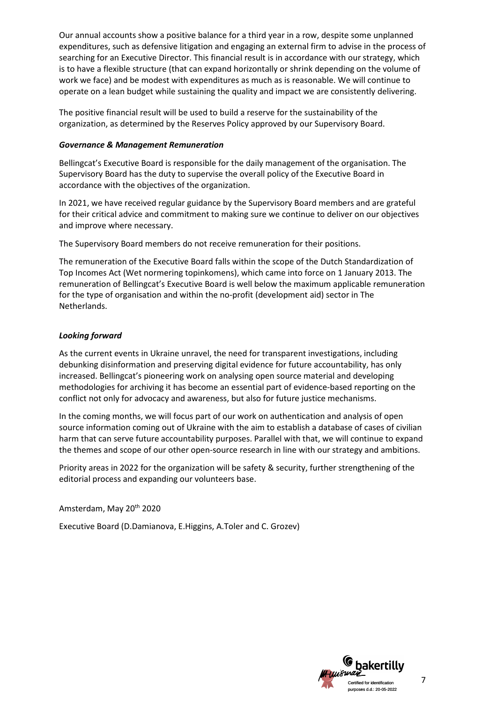Our annual accounts show a positive balance for a third year in a row, despite some unplanned expenditures, such as defensive litigation and engaging an external firm to advise in the process of searching for an Executive Director. This financial result is in accordance with our strategy, which is to have a flexible structure (that can expand horizontally or shrink depending on the volume of work we face) and be modest with expenditures as much as is reasonable. We will continue to operate on a lean budget while sustaining the quality and impact we are consistently delivering.

The positive financial result will be used to build a reserve for the sustainability of the organization, as determined by the Reserves Policy approved by our Supervisory Board.

## *Governance & Management Remuneration*

Bellingcat's Executive Board is responsible for the daily management of the organisation. The Supervisory Board has the duty to supervise the overall policy of the Executive Board in accordance with the objectives of the organization.

In 2021, we have received regular guidance by the Supervisory Board members and are grateful for their critical advice and commitment to making sure we continue to deliver on our objectives and improve where necessary.

The Supervisory Board members do not receive remuneration for their positions.

The remuneration of the Executive Board falls within the scope of the Dutch Standardization of Top Incomes Act (Wet normering topinkomens), which came into force on 1 January 2013. The remuneration of Bellingcat's Executive Board is well below the maximum applicable remuneration for the type of organisation and within the no-profit (development aid) sector in The Netherlands.

# *Looking forward*

As the current events in Ukraine unravel, the need for transparent investigations, including debunking disinformation and preserving digital evidence for future accountability, has only increased. Bellingcat's pioneering work on analysing open source material and developing methodologies for archiving it has become an essential part of evidence-based reporting on the conflict not only for advocacy and awareness, but also for future justice mechanisms.

In the coming months, we will focus part of our work on authentication and analysis of open source information coming out of Ukraine with the aim to establish a database of cases of civilian harm that can serve future accountability purposes. Parallel with that, we will continue to expand the themes and scope of our other open-source research in line with our strategy and ambitions.

Priority areas in 2022 for the organization will be safety & security, further strengthening of the editorial process and expanding our volunteers base.

Amsterdam, May 20th 2020

Executive Board (D.Damianova, E.Higgins, A.Toler and C. Grozev)

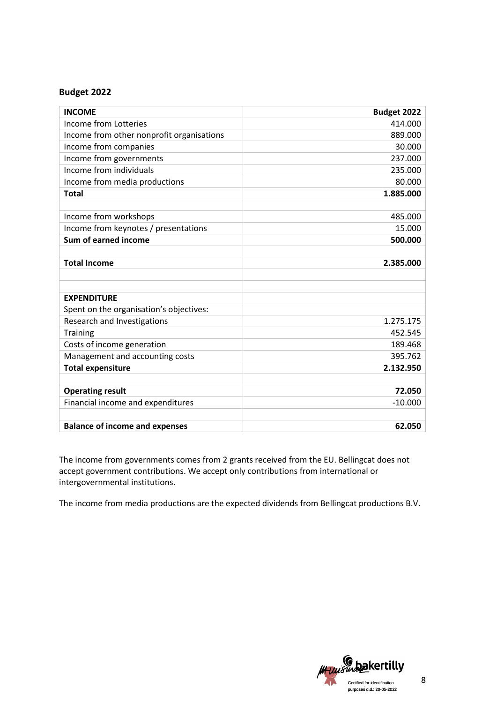# **Budget 2022**

| <b>INCOME</b>                             | Budget 2022 |
|-------------------------------------------|-------------|
| Income from Lotteries                     | 414.000     |
| Income from other nonprofit organisations | 889.000     |
| Income from companies                     | 30.000      |
| Income from governments                   | 237.000     |
| Income from individuals                   | 235.000     |
| Income from media productions             | 80.000      |
| <b>Total</b>                              | 1.885.000   |
|                                           |             |
| Income from workshops                     | 485.000     |
| Income from keynotes / presentations      | 15.000      |
| Sum of earned income                      | 500.000     |
|                                           |             |
| <b>Total Income</b>                       | 2.385.000   |
|                                           |             |
|                                           |             |
| <b>EXPENDITURE</b>                        |             |
| Spent on the organisation's objectives:   |             |
| Research and Investigations               | 1.275.175   |
| <b>Training</b>                           | 452.545     |
| Costs of income generation                | 189.468     |
| Management and accounting costs           | 395.762     |
| <b>Total expensiture</b>                  | 2.132.950   |
|                                           |             |
| <b>Operating result</b>                   | 72.050      |
| Financial income and expenditures         | $-10.000$   |
|                                           |             |
| <b>Balance of income and expenses</b>     | 62.050      |

The income from governments comes from 2 grants received from the EU. Bellingcat does not accept government contributions. We accept only contributions from international or intergovernmental institutions.

The income from media productions are the expected dividends from Bellingcat productions B.V.

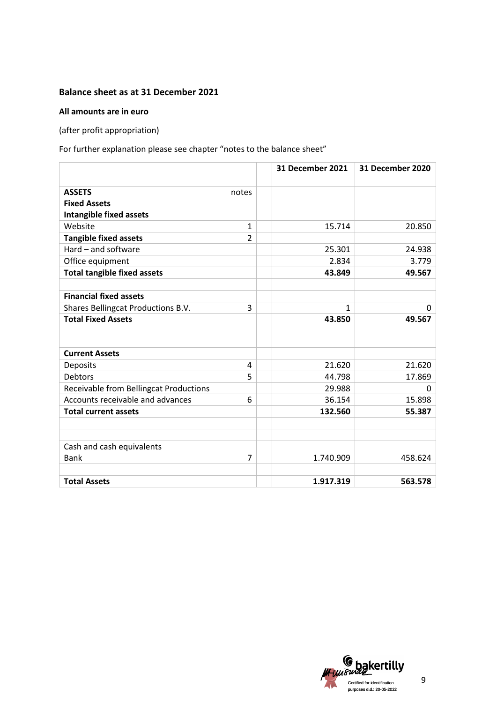# **Balance sheet as at 31 December 2021**

## **All amounts are in euro**

(after profit appropriation)

For further explanation please see chapter "notes to the balance sheet"

|                                        |                | <b>31 December 2021</b> | 31 December 2020 |
|----------------------------------------|----------------|-------------------------|------------------|
| <b>ASSETS</b>                          | notes          |                         |                  |
| <b>Fixed Assets</b>                    |                |                         |                  |
| <b>Intangible fixed assets</b>         |                |                         |                  |
| Website                                | $\mathbf{1}$   | 15.714                  | 20.850           |
| <b>Tangible fixed assets</b>           | $\overline{2}$ |                         |                  |
| Hard - and software                    |                | 25.301                  | 24.938           |
| Office equipment                       |                | 2.834                   | 3.779            |
| <b>Total tangible fixed assets</b>     |                | 43.849                  | 49.567           |
|                                        |                |                         |                  |
| <b>Financial fixed assets</b>          |                |                         |                  |
| Shares Bellingcat Productions B.V.     | 3              | $\mathbf{1}$            | 0                |
| <b>Total Fixed Assets</b>              |                | 43.850                  | 49.567           |
| <b>Current Assets</b>                  |                |                         |                  |
| Deposits                               | 4              | 21.620                  | 21.620           |
| <b>Debtors</b>                         | 5              | 44.798                  | 17.869           |
| Receivable from Bellingcat Productions |                | 29.988                  | 0                |
| Accounts receivable and advances       | 6              | 36.154                  | 15.898           |
| <b>Total current assets</b>            |                | 132.560                 | 55.387           |
|                                        |                |                         |                  |
| Cash and cash equivalents              |                |                         |                  |
| <b>Bank</b>                            | $\overline{7}$ | 1.740.909               | 458.624          |
| <b>Total Assets</b>                    |                | 1.917.319               | 563.578          |

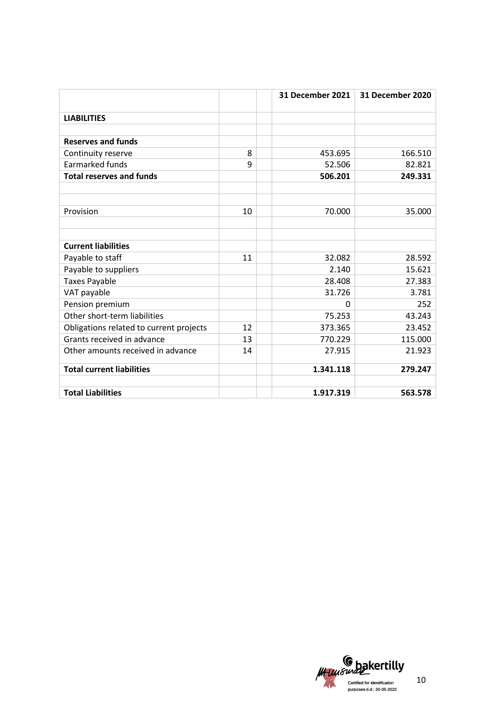|                                         |    | 31 December 2021 | 31 December 2020 |
|-----------------------------------------|----|------------------|------------------|
| <b>LIABILITIES</b>                      |    |                  |                  |
|                                         |    |                  |                  |
| <b>Reserves and funds</b>               |    |                  |                  |
| Continuity reserve                      | 8  | 453.695          | 166.510          |
| <b>Earmarked funds</b>                  | 9  | 52.506           | 82.821           |
| <b>Total reserves and funds</b>         |    | 506.201          | 249.331          |
|                                         |    |                  |                  |
|                                         |    |                  |                  |
| Provision                               | 10 | 70.000           | 35.000           |
|                                         |    |                  |                  |
|                                         |    |                  |                  |
| <b>Current liabilities</b>              |    |                  |                  |
| Payable to staff                        | 11 | 32.082           | 28.592           |
| Payable to suppliers                    |    | 2.140            | 15.621           |
| <b>Taxes Payable</b>                    |    | 28.408           | 27.383           |
| VAT payable                             |    | 31.726           | 3.781            |
| Pension premium                         |    | 0                | 252              |
| Other short-term liabilities            |    | 75.253           | 43.243           |
| Obligations related to current projects | 12 | 373.365          | 23.452           |
| Grants received in advance              | 13 | 770.229          | 115.000          |
| Other amounts received in advance       | 14 | 27.915           | 21.923           |
| <b>Total current liabilities</b>        |    | 1.341.118        | 279.247          |
|                                         |    |                  |                  |
| <b>Total Liabilities</b>                |    | 1.917.319        | 563.578          |

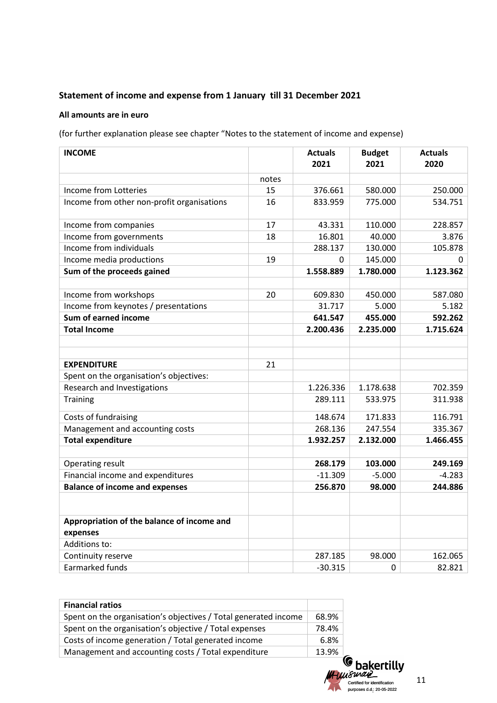# **Statement of income and expense from 1 January till 31 December 2021**

# **All amounts are in euro**

(for further explanation please see chapter "Notes to the statement of income and expense)

| <b>INCOME</b>                                          |       | <b>Actuals</b><br>2021 | <b>Budget</b><br>2021 | <b>Actuals</b><br>2020 |
|--------------------------------------------------------|-------|------------------------|-----------------------|------------------------|
|                                                        | notes |                        |                       |                        |
| Income from Lotteries                                  | 15    | 376.661                | 580.000               | 250.000                |
| Income from other non-profit organisations             | 16    | 833.959                | 775.000               | 534.751                |
| Income from companies                                  | 17    | 43.331                 | 110.000               | 228.857                |
| Income from governments                                | 18    | 16.801                 | 40.000                | 3.876                  |
| Income from individuals                                |       | 288.137                | 130.000               | 105.878                |
| Income media productions                               | 19    | 0                      | 145.000               | 0                      |
| Sum of the proceeds gained                             |       | 1.558.889              | 1.780.000             | 1.123.362              |
|                                                        |       |                        |                       |                        |
| Income from workshops                                  | 20    | 609.830                | 450.000               | 587.080                |
| Income from keynotes / presentations                   |       | 31.717                 | 5.000                 | 5.182                  |
| Sum of earned income                                   |       | 641.547                | 455.000               | 592.262                |
| <b>Total Income</b>                                    |       | 2.200.436              | 2.235.000             | 1.715.624              |
|                                                        |       |                        |                       |                        |
|                                                        |       |                        |                       |                        |
| <b>EXPENDITURE</b>                                     | 21    |                        |                       |                        |
| Spent on the organisation's objectives:                |       |                        |                       |                        |
| Research and Investigations                            |       | 1.226.336              | 1.178.638             | 702.359                |
| Training                                               |       | 289.111                | 533.975               | 311.938                |
| Costs of fundraising                                   |       | 148.674                | 171.833               | 116.791                |
| Management and accounting costs                        |       | 268.136                | 247.554               | 335.367                |
| <b>Total expenditure</b>                               |       | 1.932.257              | 2.132.000             | 1.466.455              |
|                                                        |       |                        |                       |                        |
| Operating result                                       |       | 268.179                | 103.000               | 249.169                |
| Financial income and expenditures                      |       | $-11.309$              | $-5.000$              | $-4.283$               |
| <b>Balance of income and expenses</b>                  |       | 256.870                | 98.000                | 244.886                |
|                                                        |       |                        |                       |                        |
| Appropriation of the balance of income and<br>expenses |       |                        |                       |                        |
| Additions to:                                          |       |                        |                       |                        |
| Continuity reserve                                     |       | 287.185                | 98.000                | 162.065                |
| <b>Earmarked funds</b>                                 |       | $-30.315$              | 0                     | 82.821                 |

| <b>Financial ratios</b>                                         |       |
|-----------------------------------------------------------------|-------|
| Spent on the organisation's objectives / Total generated income | 68.9% |
| Spent on the organisation's objective / Total expenses          | 78.4% |
| Costs of income generation / Total generated income             | 6.8%  |
| Management and accounting costs / Total expenditure             | 13.9% |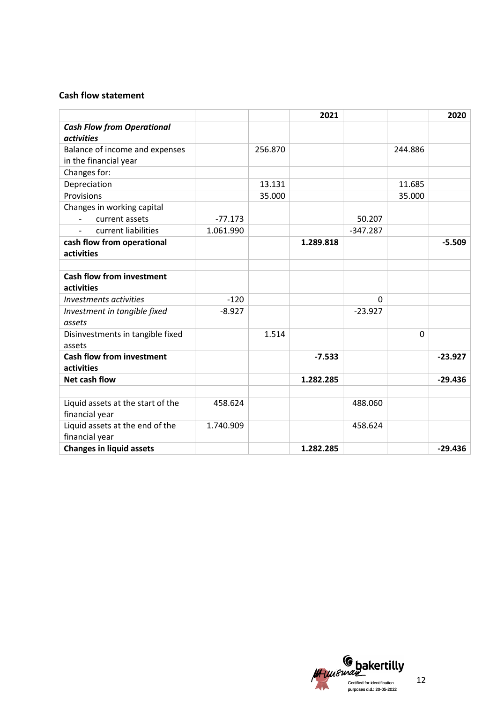# **Cash flow statement**

|                                       |           |         | 2021      |            |         | 2020      |
|---------------------------------------|-----------|---------|-----------|------------|---------|-----------|
| <b>Cash Flow from Operational</b>     |           |         |           |            |         |           |
| <i>activities</i>                     |           |         |           |            |         |           |
| Balance of income and expenses        |           | 256.870 |           |            | 244.886 |           |
| in the financial year                 |           |         |           |            |         |           |
| Changes for:                          |           |         |           |            |         |           |
| Depreciation                          |           | 13.131  |           |            | 11.685  |           |
| Provisions                            |           | 35.000  |           |            | 35.000  |           |
| Changes in working capital            |           |         |           |            |         |           |
| current assets<br>$\overline{a}$      | $-77.173$ |         |           | 50.207     |         |           |
| current liabilities<br>$\blacksquare$ | 1.061.990 |         |           | $-347.287$ |         |           |
| cash flow from operational            |           |         | 1.289.818 |            |         | $-5.509$  |
| activities                            |           |         |           |            |         |           |
|                                       |           |         |           |            |         |           |
| <b>Cash flow from investment</b>      |           |         |           |            |         |           |
| activities                            |           |         |           |            |         |           |
| Investments activities                | $-120$    |         |           | 0          |         |           |
| Investment in tangible fixed          | $-8.927$  |         |           | $-23.927$  |         |           |
| assets                                |           |         |           |            |         |           |
| Disinvestments in tangible fixed      |           | 1.514   |           |            | 0       |           |
| assets                                |           |         |           |            |         |           |
| <b>Cash flow from investment</b>      |           |         | $-7.533$  |            |         | $-23.927$ |
| activities                            |           |         |           |            |         |           |
| <b>Net cash flow</b>                  |           |         | 1.282.285 |            |         | $-29.436$ |
|                                       |           |         |           |            |         |           |
| Liquid assets at the start of the     | 458.624   |         |           | 488.060    |         |           |
| financial year                        |           |         |           |            |         |           |
| Liquid assets at the end of the       | 1.740.909 |         |           | 458.624    |         |           |
| financial year                        |           |         |           |            |         |           |
| <b>Changes in liquid assets</b>       |           |         | 1.282.285 |            |         | $-29.436$ |

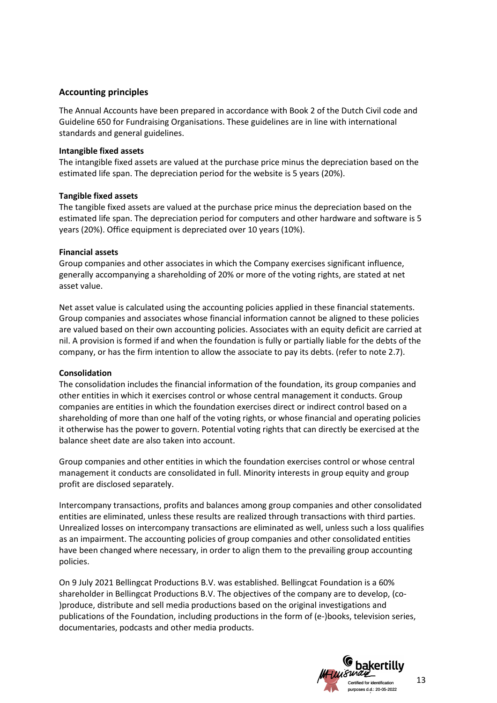# **Accounting principles**

The Annual Accounts have been prepared in accordance with Book 2 of the Dutch Civil code and Guideline 650 for Fundraising Organisations. These guidelines are in line with international standards and general guidelines.

## **Intangible fixed assets**

The intangible fixed assets are valued at the purchase price minus the depreciation based on the estimated life span. The depreciation period for the website is 5 years (20%).

## **Tangible fixed assets**

The tangible fixed assets are valued at the purchase price minus the depreciation based on the estimated life span. The depreciation period for computers and other hardware and software is 5 years (20%). Office equipment is depreciated over 10 years (10%).

# **Financial assets**

Group companies and other associates in which the Company exercises significant influence, generally accompanying a shareholding of 20% or more of the voting rights, are stated at net asset value.

Net asset value is calculated using the accounting policies applied in these financial statements. Group companies and associates whose financial information cannot be aligned to these policies are valued based on their own accounting policies. Associates with an equity deficit are carried at nil. A provision is formed if and when the foundation is fully or partially liable for the debts of the company, or has the firm intention to allow the associate to pay its debts. (refer to note 2.7).

## **Consolidation**

The consolidation includes the financial information of the foundation, its group companies and other entities in which it exercises control or whose central management it conducts. Group companies are entities in which the foundation exercises direct or indirect control based on a shareholding of more than one half of the voting rights, or whose financial and operating policies it otherwise has the power to govern. Potential voting rights that can directly be exercised at the balance sheet date are also taken into account.

Group companies and other entities in which the foundation exercises control or whose central management it conducts are consolidated in full. Minority interests in group equity and group profit are disclosed separately.

Intercompany transactions, profits and balances among group companies and other consolidated entities are eliminated, unless these results are realized through transactions with third parties. Unrealized losses on intercompany transactions are eliminated as well, unless such a loss qualifies as an impairment. The accounting policies of group companies and other consolidated entities have been changed where necessary, in order to align them to the prevailing group accounting policies.

On 9 July 2021 Bellingcat Productions B.V. was established. Bellingcat Foundation is a 60% shareholder in Bellingcat Productions B.V. The objectives of the company are to develop, (co- )produce, distribute and sell media productions based on the original investigations and publications of the Foundation, including productions in the form of (e-)books, television series, documentaries, podcasts and other media products.

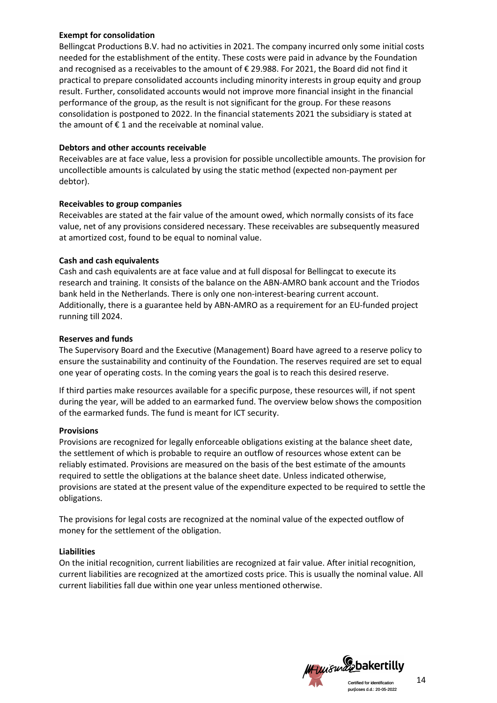## **Exempt for consolidation**

Bellingcat Productions B.V. had no activities in 2021. The company incurred only some initial costs needed for the establishment of the entity. These costs were paid in advance by the Foundation and recognised as a receivables to the amount of  $\epsilon$  29.988. For 2021, the Board did not find it practical to prepare consolidated accounts including minority interests in group equity and group result. Further, consolidated accounts would not improve more financial insight in the financial performance of the group, as the result is not significant for the group. For these reasons consolidation is postponed to 2022. In the financial statements 2021 the subsidiary is stated at the amount of  $f$  1 and the receivable at nominal value.

# **Debtors and other accounts receivable**

Receivables are at face value, less a provision for possible uncollectible amounts. The provision for uncollectible amounts is calculated by using the static method (expected non-payment per debtor).

# **Receivables to group companies**

Receivables are stated at the fair value of the amount owed, which normally consists of its face value, net of any provisions considered necessary. These receivables are subsequently measured at amortized cost, found to be equal to nominal value.

# **Cash and cash equivalents**

Cash and cash equivalents are at face value and at full disposal for Bellingcat to execute its research and training. It consists of the balance on the ABN-AMRO bank account and the Triodos bank held in the Netherlands. There is only one non-interest-bearing current account. Additionally, there is a guarantee held by ABN-AMRO as a requirement for an EU-funded project running till 2024.

# **Reserves and funds**

The Supervisory Board and the Executive (Management) Board have agreed to a reserve policy to ensure the sustainability and continuity of the Foundation. The reserves required are set to equal one year of operating costs. In the coming years the goal is to reach this desired reserve.

If third parties make resources available for a specific purpose, these resources will, if not spent during the year, will be added to an earmarked fund. The overview below shows the composition of the earmarked funds. The fund is meant for ICT security.

## **Provisions**

Provisions are recognized for legally enforceable obligations existing at the balance sheet date, the settlement of which is probable to require an outflow of resources whose extent can be reliably estimated. Provisions are measured on the basis of the best estimate of the amounts required to settle the obligations at the balance sheet date. Unless indicated otherwise, provisions are stated at the present value of the expenditure expected to be required to settle the obligations.

The provisions for legal costs are recognized at the nominal value of the expected outflow of money for the settlement of the obligation.

## **Liabilities**

On the initial recognition, current liabilities are recognized at fair value. After initial recognition, current liabilities are recognized at the amortized costs price. This is usually the nominal value. All current liabilities fall due within one year unless mentioned otherwise.

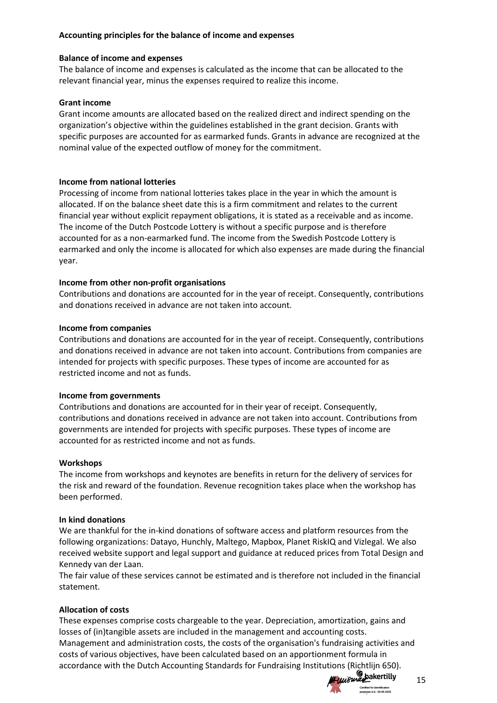# **Accounting principles for the balance of income and expenses**

## **Balance of income and expenses**

The balance of income and expenses is calculated as the income that can be allocated to the relevant financial year, minus the expenses required to realize this income.

# **Grant income**

Grant income amounts are allocated based on the realized direct and indirect spending on the organization's objective within the guidelines established in the grant decision. Grants with specific purposes are accounted for as earmarked funds. Grants in advance are recognized at the nominal value of the expected outflow of money for the commitment.

# **Income from national lotteries**

Processing of income from national lotteries takes place in the year in which the amount is allocated. If on the balance sheet date this is a firm commitment and relates to the current financial year without explicit repayment obligations, it is stated as a receivable and as income. The income of the Dutch Postcode Lottery is without a specific purpose and is therefore accounted for as a non-earmarked fund. The income from the Swedish Postcode Lottery is earmarked and only the income is allocated for which also expenses are made during the financial year.

# **Income from other non-profit organisations**

Contributions and donations are accounted for in the year of receipt. Consequently, contributions and donations received in advance are not taken into account.

# **Income from companies**

Contributions and donations are accounted for in the year of receipt. Consequently, contributions and donations received in advance are not taken into account. Contributions from companies are intended for projects with specific purposes. These types of income are accounted for as restricted income and not as funds.

## **Income from governments**

Contributions and donations are accounted for in their year of receipt. Consequently, contributions and donations received in advance are not taken into account. Contributions from governments are intended for projects with specific purposes. These types of income are accounted for as restricted income and not as funds.

## **Workshops**

The income from workshops and keynotes are benefits in return for the delivery of services for the risk and reward of the foundation. Revenue recognition takes place when the workshop has been performed.

## **In kind donations**

We are thankful for the in-kind donations of software access and platform resources from the following organizations: Datayo, Hunchly, Maltego, Mapbox, Planet RiskIQ and Vizlegal. We also received website support and legal support and guidance at reduced prices from Total Design and Kennedy van der Laan.

The fair value of these services cannot be estimated and is therefore not included in the financial statement.

# **Allocation of costs**

These expenses comprise costs chargeable to the year. Depreciation, amortization, gains and losses of (in)tangible assets are included in the management and accounting costs. Management and administration costs, the costs of the organisation's fundraising activities and costs of various objectives, have been calculated based on an apportionment formula in accordance with the Dutch Accounting Standards for Fundraising Institutions (Richtlijn 650).



15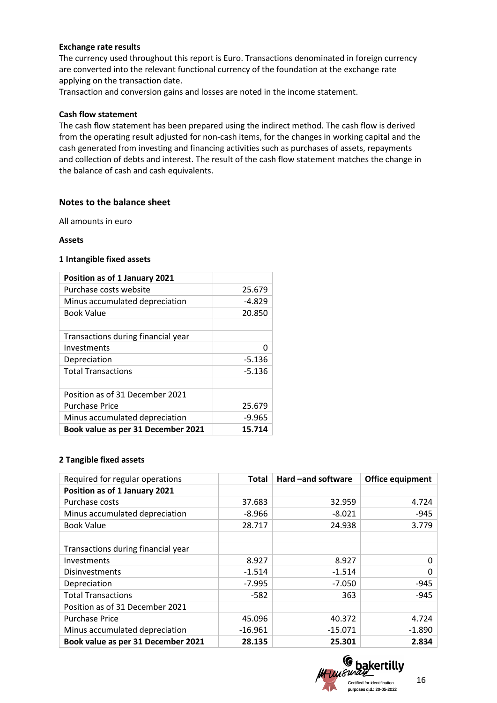### **Exchange rate results**

The currency used throughout this report is Euro. Transactions denominated in foreign currency are converted into the relevant functional currency of the foundation at the exchange rate applying on the transaction date.

Transaction and conversion gains and losses are noted in the income statement.

#### **Cash flow statement**

The cash flow statement has been prepared using the indirect method. The cash flow is derived from the operating result adjusted for non-cash items, for the changes in working capital and the cash generated from investing and financing activities such as purchases of assets, repayments and collection of debts and interest. The result of the cash flow statement matches the change in the balance of cash and cash equivalents.

## **Notes to the balance sheet**

All amounts in euro

#### **Assets**

#### **1 Intangible fixed assets**

| Position as of 1 January 2021      |          |
|------------------------------------|----------|
| Purchase costs website             | 25.679   |
| Minus accumulated depreciation     | -4.829   |
| <b>Book Value</b>                  | 20.850   |
|                                    |          |
| Transactions during financial year |          |
| Investments                        | 0        |
| Depreciation                       | $-5.136$ |
| <b>Total Transactions</b>          | -5.136   |
|                                    |          |
| Position as of 31 December 2021    |          |
| <b>Purchase Price</b>              | 25.679   |
| Minus accumulated depreciation     | $-9.965$ |
| Book value as per 31 December 2021 | 15.714   |

#### **2 Tangible fixed assets**

| Required for regular operations    | <b>Total</b> | Hard -and software | Office equipment |
|------------------------------------|--------------|--------------------|------------------|
| Position as of 1 January 2021      |              |                    |                  |
| Purchase costs                     | 37.683       | 32.959             | 4.724            |
| Minus accumulated depreciation     | $-8.966$     | $-8.021$           | $-945$           |
| <b>Book Value</b>                  | 28.717       | 24.938             | 3.779            |
|                                    |              |                    |                  |
| Transactions during financial year |              |                    |                  |
| Investments                        | 8.927        | 8.927              | 0                |
| <b>Disinvestments</b>              | $-1.514$     | $-1.514$           | 0                |
| Depreciation                       | $-7.995$     | $-7.050$           | -945             |
| <b>Total Transactions</b>          | -582         | 363                | $-945$           |
| Position as of 31 December 2021    |              |                    |                  |
| <b>Purchase Price</b>              | 45.096       | 40.372             | 4.724            |
| Minus accumulated depreciation     | $-16.961$    | $-15.071$          | $-1.890$         |
| Book value as per 31 December 2021 | 28.135       | 25.301             | 2.834            |

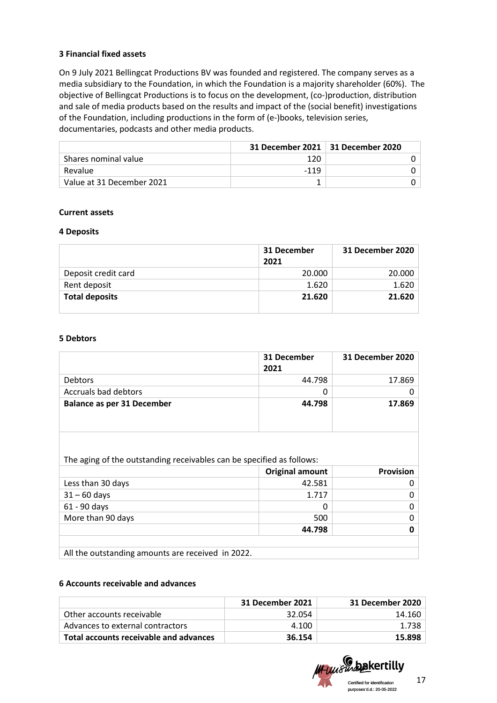## **3 Financial fixed assets**

On 9 July 2021 Bellingcat Productions BV was founded and registered. The company serves as a media subsidiary to the Foundation, in which the Foundation is a majority shareholder (60%). The objective of Bellingcat Productions is to focus on the development, (co-)production, distribution and sale of media products based on the results and impact of the (social benefit) investigations of the Foundation, including productions in the form of (e-)books, television series, documentaries, podcasts and other media products.

|                           |      | 31 December 2021   31 December 2020 |
|---------------------------|------|-------------------------------------|
| Shares nominal value      | 120  |                                     |
| Revalue                   | -119 |                                     |
| Value at 31 December 2021 |      |                                     |

## **Current assets**

#### **4 Deposits**

|                       | 31 December<br>2021 | 31 December 2020 |
|-----------------------|---------------------|------------------|
| Deposit credit card   | 20,000              | 20.000           |
| Rent deposit          | 1.620               | 1.620            |
| <b>Total deposits</b> | 21.620              | 21.620           |

### **5 Debtors**

|                                   | 31 December<br>2021 | 31 December 2020 |
|-----------------------------------|---------------------|------------------|
| <b>Debtors</b>                    | 44.798              | 17.869           |
| Accruals bad debtors              |                     |                  |
| <b>Balance as per 31 December</b> | 44.798              | 17.869           |

The aging of the outstanding receivables can be specified as follows:

|                                                   | <b>Original amount</b> | <b>Provision</b> |
|---------------------------------------------------|------------------------|------------------|
| Less than 30 days                                 | 42.581                 |                  |
| $31 - 60$ days                                    | 1.717                  | 0                |
| 61 - 90 days                                      |                        | 0                |
| More than 90 days                                 | 500                    | O.               |
|                                                   | 44.798                 |                  |
|                                                   |                        |                  |
| All the outstanding amounts are received in 2022. |                        |                  |

#### **6 Accounts receivable and advances**

|                                        | 31 December 2021 | <b>31 December 2020</b> |
|----------------------------------------|------------------|-------------------------|
| Other accounts receivable              | 32.054           | 14.160                  |
| Advances to external contractors       | 4.100            | 1.738                   |
| Total accounts receivable and advances | 36.154           | 15.898                  |

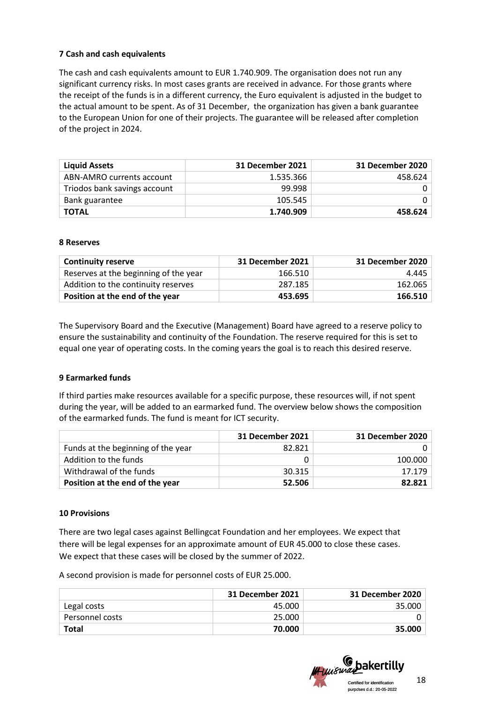# **7 Cash and cash equivalents**

The cash and cash equivalents amount to EUR 1.740.909. The organisation does not run any significant currency risks. In most cases grants are received in advance. For those grants where the receipt of the funds is in a different currency, the Euro equivalent is adjusted in the budget to the actual amount to be spent. As of 31 December, the organization has given a bank guarantee to the European Union for one of their projects. The guarantee will be released after completion of the project in 2024.

| <b>Liquid Assets</b>         | 31 December 2021 | 31 December 2020 |
|------------------------------|------------------|------------------|
| ABN-AMRO currents account    | 1.535.366        | 458.624          |
| Triodos bank savings account | 99.998           |                  |
| Bank guarantee               | 105.545          |                  |
| <b>TOTAL</b>                 | 1.740.909        | 458.624          |

## **8 Reserves**

| <b>Continuity reserve</b>             | 31 December 2021 | 31 December 2020 |
|---------------------------------------|------------------|------------------|
| Reserves at the beginning of the year | 166.510          | 4.445            |
| Addition to the continuity reserves   | 287.185          | 162.065          |
| Position at the end of the year       | 453.695          | 166.510          |

The Supervisory Board and the Executive (Management) Board have agreed to a reserve policy to ensure the sustainability and continuity of the Foundation. The reserve required for this is set to equal one year of operating costs. In the coming years the goal is to reach this desired reserve.

## **9 Earmarked funds**

If third parties make resources available for a specific purpose, these resources will, if not spent during the year, will be added to an earmarked fund. The overview below shows the composition of the earmarked funds. The fund is meant for ICT security.

|                                    | 31 December 2021 | 31 December 2020 |
|------------------------------------|------------------|------------------|
| Funds at the beginning of the year | 82.821           |                  |
| Addition to the funds              |                  | 100.000          |
| Withdrawal of the funds            | 30.315           | 17.179           |
| Position at the end of the year    | 52.506           | 82.821           |

## **10 Provisions**

There are two legal cases against Bellingcat Foundation and her employees. We expect that there will be legal expenses for an approximate amount of EUR 45.000 to close these cases. We expect that these cases will be closed by the summer of 2022.

A second provision is made for personnel costs of EUR 25.000.

|                 | 31 December 2021 | 31 December 2020 |
|-----------------|------------------|------------------|
| Legal costs     | 45.000           | 35.000           |
| Personnel costs | 25.000           |                  |
| <b>Total</b>    | 70.000           | 35.000           |

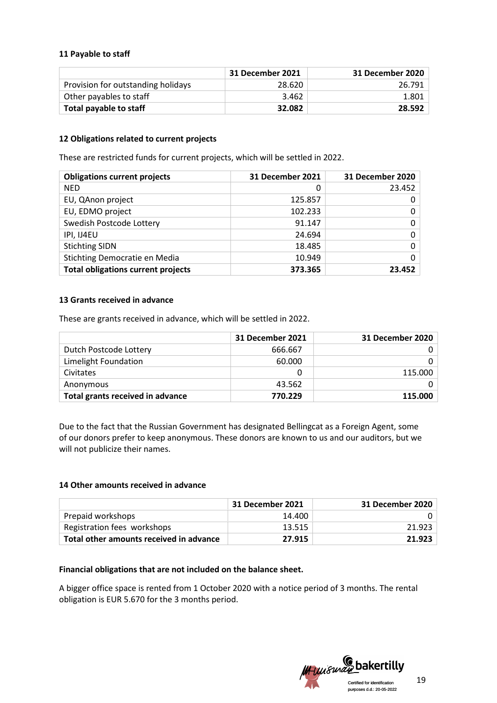## **11 Payable to staff**

|                                    | 31 December 2021 | 31 December 2020 |
|------------------------------------|------------------|------------------|
| Provision for outstanding holidays | 28.620           | 26.791           |
| Other payables to staff            | 3.462            | 1.801            |
| Total payable to staff             | 32.082           | 28.592           |

## **12 Obligations related to current projects**

These are restricted funds for current projects, which will be settled in 2022.

| <b>Obligations current projects</b>       | 31 December 2021 | 31 December 2020 |
|-------------------------------------------|------------------|------------------|
| <b>NED</b>                                | 0                | 23.452           |
| EU, QAnon project                         | 125.857          | 0                |
| EU, EDMO project                          | 102.233          | 0                |
| Swedish Postcode Lottery                  | 91.147           | 0 <sup>1</sup>   |
| IPI, IJ4EU                                | 24.694           | 0 <sup>1</sup>   |
| <b>Stichting SIDN</b>                     | 18.485           | 0 <sup>1</sup>   |
| Stichting Democratie en Media             | 10.949           | $\Omega$         |
| <b>Total obligations current projects</b> | 373.365          | 23.452           |

# **13 Grants received in advance**

These are grants received in advance, which will be settled in 2022.

|                                  | 31 December 2021 | 31 December 2020 |
|----------------------------------|------------------|------------------|
| Dutch Postcode Lottery           | 666.667          |                  |
| Limelight Foundation             | 60.000           |                  |
| Civitates                        |                  | 115.000          |
| Anonymous                        | 43.562           |                  |
| Total grants received in advance | 770.229          | 115,000          |

Due to the fact that the Russian Government has designated Bellingcat as a Foreign Agent, some of our donors prefer to keep anonymous. These donors are known to us and our auditors, but we will not publicize their names.

## **14 Other amounts received in advance**

|                                         | 31 December 2021 | 31 December 2020 |
|-----------------------------------------|------------------|------------------|
| Prepaid workshops                       | 14.400           |                  |
| Registration fees workshops             | 13.515           | 21.923           |
| Total other amounts received in advance | 27.915           | 21.923           |

## **Financial obligations that are not included on the balance sheet.**

A bigger office space is rented from 1 October 2020 with a notice period of 3 months. The rental obligation is EUR 5.670 for the 3 months period.

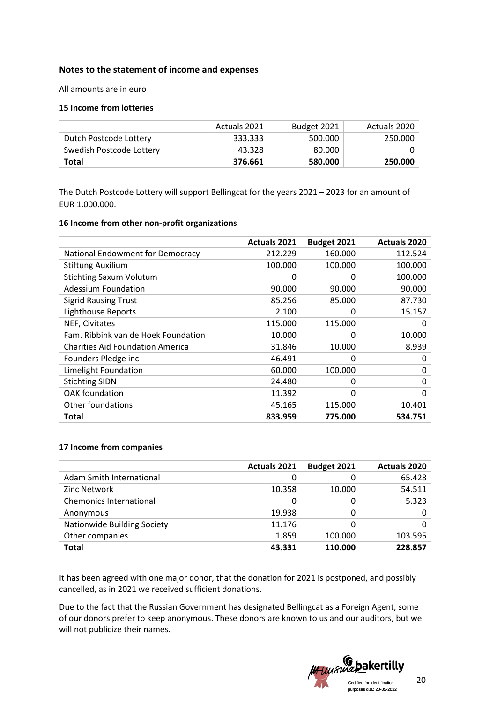# **Notes to the statement of income and expenses**

All amounts are in euro

### **15 Income from lotteries**

|                          | Actuals 2021 | Budget 2021 | Actuals 2020 |
|--------------------------|--------------|-------------|--------------|
| Dutch Postcode Lottery   | 333.333      | 500.000     | 250.000      |
| Swedish Postcode Lottery | 43.328       | 80.000      |              |
| Total                    | 376.661      | 580.000     | 250.000      |

The Dutch Postcode Lottery will support Bellingcat for the years 2021 – 2023 for an amount of EUR 1.000.000.

#### **16 Income from other non-profit organizations**

|                                         | <b>Actuals 2021</b> | Budget 2021 | <b>Actuals 2020</b> |
|-----------------------------------------|---------------------|-------------|---------------------|
| National Endowment for Democracy        | 212.229             | 160,000     | 112.524             |
| <b>Stiftung Auxilium</b>                | 100.000             | 100.000     | 100.000             |
| <b>Stichting Saxum Volutum</b>          | $\Omega$            | 0           | 100.000             |
| <b>Adessium Foundation</b>              | 90.000              | 90.000      | 90.000              |
| <b>Sigrid Rausing Trust</b>             | 85.256              | 85.000      | 87.730              |
| <b>Lighthouse Reports</b>               | 2.100               | ი           | 15.157              |
| NEF, Civitates                          | 115.000             | 115.000     | O                   |
| Fam. Ribbink van de Hoek Foundation     | 10.000              | 0           | 10.000              |
| <b>Charities Aid Foundation America</b> | 31.846              | 10.000      | 8.939               |
| Founders Pledge inc                     | 46.491              | 0           | 0                   |
| Limelight Foundation                    | 60.000              | 100.000     | 0                   |
| <b>Stichting SIDN</b>                   | 24.480              | 0           | 0                   |
| OAK foundation                          | 11.392              | 0           | 0                   |
| Other foundations                       | 45.165              | 115.000     | 10.401              |
| Total                                   | 833.959             | 775.000     | 534.751             |

#### **17 Income from companies**

|                                | <b>Actuals 2021</b> | Budget 2021 | <b>Actuals 2020</b> |
|--------------------------------|---------------------|-------------|---------------------|
| Adam Smith International       |                     |             | 65.428              |
| Zinc Network                   | 10.358              | 10.000      | 54.511              |
| <b>Chemonics International</b> |                     |             | 5.323               |
| Anonymous                      | 19.938              | 0           |                     |
| Nationwide Building Society    | 11.176              |             |                     |
| Other companies                | 1.859               | 100.000     | 103.595             |
| <b>Total</b>                   | 43.331              | 110.000     | 228.857             |

It has been agreed with one major donor, that the donation for 2021 is postponed, and possibly cancelled, as in 2021 we received sufficient donations.

Due to the fact that the Russian Government has designated Bellingcat as a Foreign Agent, some of our donors prefer to keep anonymous. These donors are known to us and our auditors, but we will not publicize their names.

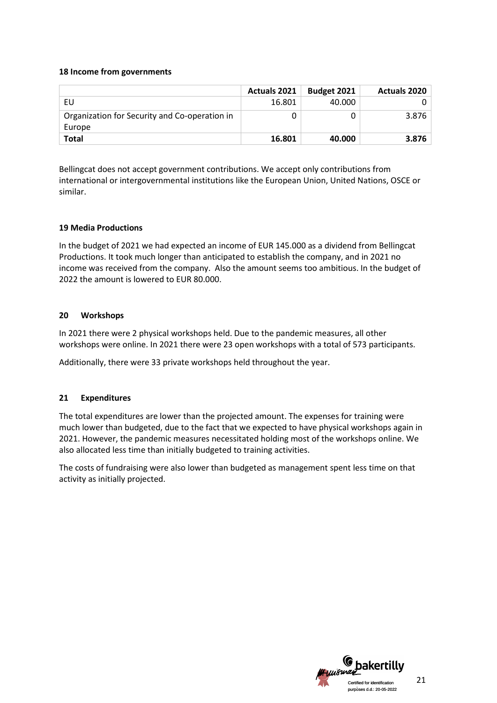### **18 Income from governments**

|                                               | <b>Actuals 2021</b> | Budget 2021 | <b>Actuals 2020</b> |
|-----------------------------------------------|---------------------|-------------|---------------------|
| EU                                            | 16.801              | 40.000      |                     |
| Organization for Security and Co-operation in |                     |             | 3.876               |
| Europe                                        |                     |             |                     |
| Total                                         | 16.801              | 40.000      | 3.876               |

Bellingcat does not accept government contributions. We accept only contributions from international or intergovernmental institutions like the European Union, United Nations, OSCE or similar.

## **19 Media Productions**

In the budget of 2021 we had expected an income of EUR 145.000 as a dividend from Bellingcat Productions. It took much longer than anticipated to establish the company, and in 2021 no income was received from the company. Also the amount seems too ambitious. In the budget of 2022 the amount is lowered to EUR 80.000.

#### **20 Workshops**

In 2021 there were 2 physical workshops held. Due to the pandemic measures, all other workshops were online. In 2021 there were 23 open workshops with a total of 573 participants.

Additionally, there were 33 private workshops held throughout the year.

## **21 Expenditures**

The total expenditures are lower than the projected amount. The expenses for training were much lower than budgeted, due to the fact that we expected to have physical workshops again in 2021. However, the pandemic measures necessitated holding most of the workshops online. We also allocated less time than initially budgeted to training activities.

The costs of fundraising were also lower than budgeted as management spent less time on that activity as initially projected.

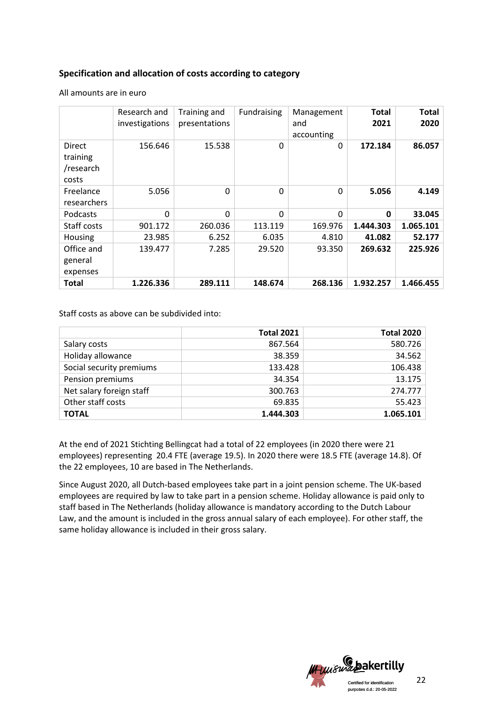# **Specification and allocation of costs according to category**

All amounts are in euro

|                                                 | Research and<br>investigations | Training and<br>presentations | Fundraising | Management<br>and<br>accounting | <b>Total</b><br>2021 | Total<br>2020 |
|-------------------------------------------------|--------------------------------|-------------------------------|-------------|---------------------------------|----------------------|---------------|
| <b>Direct</b><br>training<br>/research<br>costs | 156.646                        | 15.538                        | $\Omega$    | $\Omega$                        | 172.184              | 86.057        |
| Freelance<br>researchers                        | 5.056                          | $\Omega$                      | $\Omega$    | $\Omega$                        | 5.056                | 4.149         |
| Podcasts                                        | $\Omega$                       | $\Omega$                      | $\Omega$    | $\Omega$                        | $\mathbf{0}$         | 33.045        |
| Staff costs                                     | 901.172                        | 260.036                       | 113.119     | 169.976                         | 1.444.303            | 1.065.101     |
| Housing                                         | 23.985                         | 6.252                         | 6.035       | 4.810                           | 41.082               | 52.177        |
| Office and<br>general<br>expenses               | 139.477                        | 7.285                         | 29.520      | 93.350                          | 269.632              | 225.926       |
| Total                                           | 1.226.336                      | 289.111                       | 148.674     | 268.136                         | 1.932.257            | 1.466.455     |

Staff costs as above can be subdivided into:

|                          | <b>Total 2021</b> | <b>Total 2020</b> |
|--------------------------|-------------------|-------------------|
| Salary costs             | 867.564           | 580.726           |
| Holiday allowance        | 38.359            | 34.562            |
| Social security premiums | 133.428           | 106.438           |
| Pension premiums         | 34.354            | 13.175            |
| Net salary foreign staff | 300.763           | 274.777           |
| Other staff costs        | 69.835            | 55.423            |
| <b>TOTAL</b>             | 1.444.303         | 1.065.101         |

At the end of 2021 Stichting Bellingcat had a total of 22 employees (in 2020 there were 21 employees) representing 20.4 FTE (average 19.5). In 2020 there were 18.5 FTE (average 14.8). Of the 22 employees, 10 are based in The Netherlands.

Since August 2020, all Dutch-based employees take part in a joint pension scheme. The UK-based employees are required by law to take part in a pension scheme. Holiday allowance is paid only to staff based in The Netherlands (holiday allowance is mandatory according to the Dutch Labour Law, and the amount is included in the gross annual salary of each employee). For other staff, the same holiday allowance is included in their gross salary.

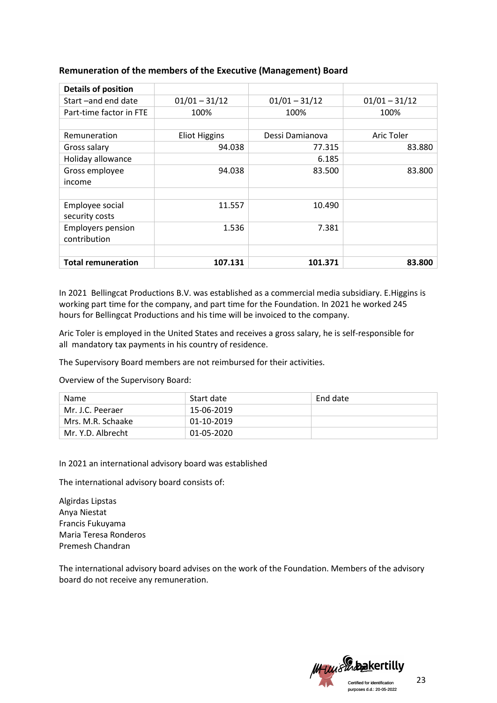| <b>Details of position</b> |                      |                 |                 |
|----------------------------|----------------------|-----------------|-----------------|
| Start-and end date         | $01/01 - 31/12$      | $01/01 - 31/12$ | $01/01 - 31/12$ |
| Part-time factor in FTE    | 100%                 | 100%            | 100%            |
|                            |                      |                 |                 |
| Remuneration               | <b>Eliot Higgins</b> | Dessi Damianova | Aric Toler      |
| Gross salary               | 94.038               | 77.315          | 83.880          |
| Holiday allowance          |                      | 6.185           |                 |
| Gross employee             | 94.038               | 83.500          | 83.800          |
| income                     |                      |                 |                 |
|                            |                      |                 |                 |
| Employee social            | 11.557               | 10.490          |                 |
| security costs             |                      |                 |                 |
| <b>Employers pension</b>   | 1.536                | 7.381           |                 |
| contribution               |                      |                 |                 |
|                            |                      |                 |                 |
| <b>Total remuneration</b>  | 107.131              | 101.371         | 83.800          |

# **Remuneration of the members of the Executive (Management) Board**

In 2021 Bellingcat Productions B.V. was established as a commercial media subsidiary. E.Higgins is working part time for the company, and part time for the Foundation. In 2021 he worked 245 hours for Bellingcat Productions and his time will be invoiced to the company.

Aric Toler is employed in the United States and receives a gross salary, he is self-responsible for all mandatory tax payments in his country of residence.

The Supervisory Board members are not reimbursed for their activities.

Overview of the Supervisory Board:

| <b>Name</b>       | Start date | End date |
|-------------------|------------|----------|
| Mr. J.C. Peeraer  | 15-06-2019 |          |
| Mrs. M.R. Schaake | 01-10-2019 |          |
| Mr. Y.D. Albrecht | 01-05-2020 |          |

In 2021 an international advisory board was established

The international advisory board consists of:

Algirdas Lipstas Anya Niestat Francis Fukuyama Maria Teresa Ronderos Premesh Chandran

The international advisory board advises on the work of the Foundation. Members of the advisory board do not receive any remuneration.

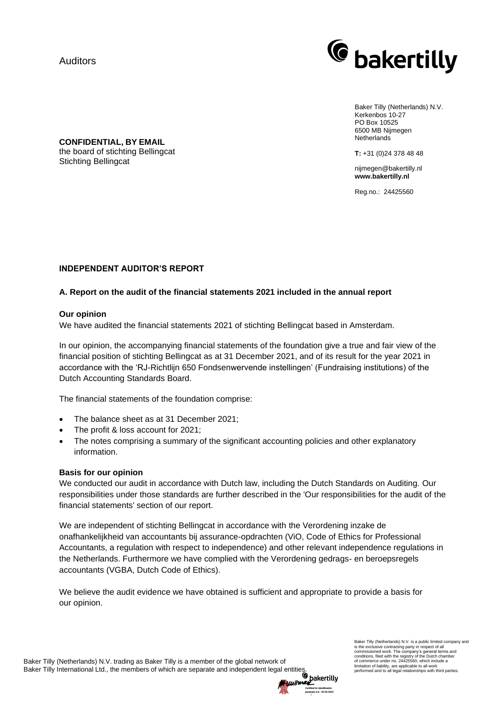

Baker Tilly (Netherlands) N.V. Kerkenbos 10-27 PO Box 10525 6500 MB Nijmegen **Netherlands** 

**T:** +31 (0)24 378 48 48

nijmegen@bakertilly.nl **www.bakertilly.nl**

Reg.no.: 24425560

**CONFIDENTIAL, BY EMAIL** the board of stichting Bellingcat Stichting Bellingcat

# **INDEPENDENT AUDITOR'S REPORT**

# **A. Report on the audit of the financial statements 2021 included in the annual report**

## **Our opinion**

We have audited the financial statements 2021 of stichting Bellingcat based in Amsterdam.

In our opinion, the accompanying financial statements of the foundation give a true and fair view of the financial position of stichting Bellingcat as at 31 December 2021, and of its result for the year 2021 in accordance with the 'RJ-Richtlijn 650 Fondsenwervende instellingen' (Fundraising institutions) of the Dutch Accounting Standards Board.

The financial statements of the foundation comprise:

- The balance sheet as at 31 December 2021;
- The profit & loss account for 2021;
- The notes comprising a summary of the significant accounting policies and other explanatory information.

#### **Basis for our opinion**

We conducted our audit in accordance with Dutch law, including the Dutch Standards on Auditing. Our responsibilities under those standards are further described in the 'Our responsibilities for the audit of the financial statements' section of our report.

We are independent of stichting Bellingcat in accordance with the Verordening inzake de onafhankelijkheid van accountants bij assurance-opdrachten (ViO, Code of Ethics for Professional Accountants, a regulation with respect to independence) and other relevant independence regulations in the Netherlands. Furthermore we have complied with the Verordening gedrags- en beroepsregels accountants (VGBA, Dutch Code of Ethics).

We believe the audit evidence we have obtained is sufficient and appropriate to provide a basis for our opinion.

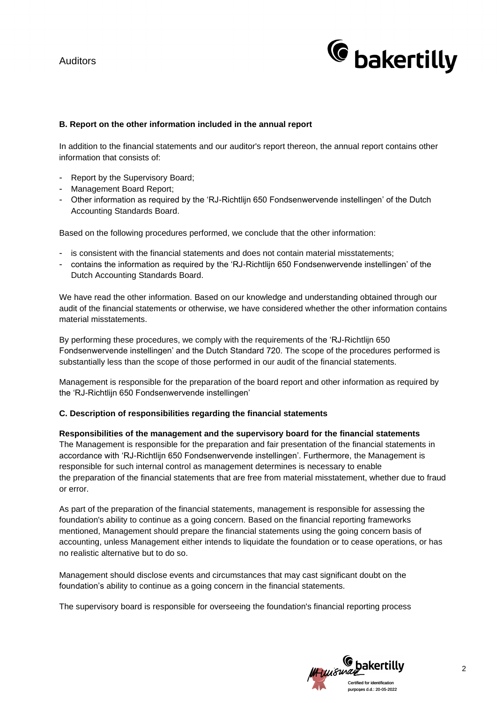

# **B. Report on the other information included in the annual report**

In addition to the financial statements and our auditor's report thereon, the annual report contains other information that consists of:

- Report by the Supervisory Board;
- Management Board Report;
- Other information as required by the 'RJ-Richtlijn 650 Fondsenwervende instellingen' of the Dutch Accounting Standards Board.

Based on the following procedures performed, we conclude that the other information:

- is consistent with the financial statements and does not contain material misstatements;
- contains the information as required by the 'RJ-Richtlijn 650 Fondsenwervende instellingen' of the Dutch Accounting Standards Board.

We have read the other information. Based on our knowledge and understanding obtained through our audit of the financial statements or otherwise, we have considered whether the other information contains material misstatements.

By performing these procedures, we comply with the requirements of the 'RJ-Richtlijn 650 Fondsenwervende instellingen' and the Dutch Standard 720. The scope of the procedures performed is substantially less than the scope of those performed in our audit of the financial statements.

Management is responsible for the preparation of the board report and other information as required by the 'RJ-Richtlijn 650 Fondsenwervende instellingen'

## **C. Description of responsibilities regarding the financial statements**

## **Responsibilities of the management and the supervisory board for the financial statements**

The Management is responsible for the preparation and fair presentation of the financial statements in accordance with 'RJ-Richtlijn 650 Fondsenwervende instellingen'. Furthermore, the Management is responsible for such internal control as management determines is necessary to enable the preparation of the financial statements that are free from material misstatement, whether due to fraud or error.

As part of the preparation of the financial statements, management is responsible for assessing the foundation's ability to continue as a going concern. Based on the financial reporting frameworks mentioned, Management should prepare the financial statements using the going concern basis of accounting, unless Management either intends to liquidate the foundation or to cease operations, or has no realistic alternative but to do so.

Management should disclose events and circumstances that may cast significant doubt on the foundation's ability to continue as a going concern in the financial statements.

The supervisory board is responsible for overseeing the foundation's financial reporting process

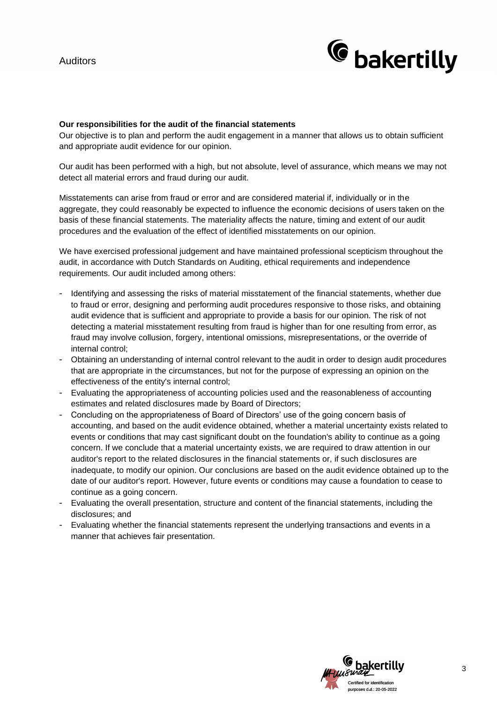

### **Our responsibilities for the audit of the financial statements**

Our objective is to plan and perform the audit engagement in a manner that allows us to obtain sufficient and appropriate audit evidence for our opinion.

Our audit has been performed with a high, but not absolute, level of assurance, which means we may not detect all material errors and fraud during our audit.

Misstatements can arise from fraud or error and are considered material if, individually or in the aggregate, they could reasonably be expected to influence the economic decisions of users taken on the basis of these financial statements. The materiality affects the nature, timing and extent of our audit procedures and the evaluation of the effect of identified misstatements on our opinion.

We have exercised professional judgement and have maintained professional scepticism throughout the audit, in accordance with Dutch Standards on Auditing, ethical requirements and independence requirements. Our audit included among others:

- Identifying and assessing the risks of material misstatement of the financial statements, whether due to fraud or error, designing and performing audit procedures responsive to those risks, and obtaining audit evidence that is sufficient and appropriate to provide a basis for our opinion. The risk of not detecting a material misstatement resulting from fraud is higher than for one resulting from error, as fraud may involve collusion, forgery, intentional omissions, misrepresentations, or the override of internal control;
- Obtaining an understanding of internal control relevant to the audit in order to design audit procedures that are appropriate in the circumstances, but not for the purpose of expressing an opinion on the effectiveness of the entity's internal control;
- Evaluating the appropriateness of accounting policies used and the reasonableness of accounting estimates and related disclosures made by Board of Directors;
- Concluding on the appropriateness of Board of Directors' use of the going concern basis of accounting, and based on the audit evidence obtained, whether a material uncertainty exists related to events or conditions that may cast significant doubt on the foundation's ability to continue as a going concern. If we conclude that a material uncertainty exists, we are required to draw attention in our auditor's report to the related disclosures in the financial statements or, if such disclosures are inadequate, to modify our opinion. Our conclusions are based on the audit evidence obtained up to the date of our auditor's report. However, future events or conditions may cause a foundation to cease to continue as a going concern.
- Evaluating the overall presentation, structure and content of the financial statements, including the disclosures; and
- Evaluating whether the financial statements represent the underlying transactions and events in a manner that achieves fair presentation.